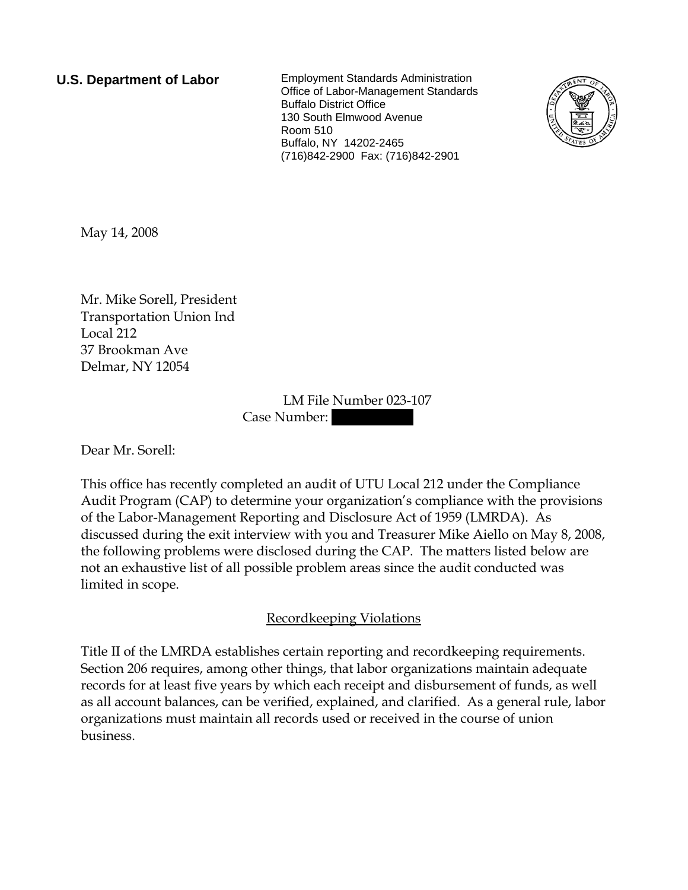**U.S. Department of Labor** Employment Standards Administration Office of Labor-Management Standards Buffalo District Office 130 South Elmwood Avenue Room 510 Buffalo, NY 14202-2465 (716)842-2900 Fax: (716)842-2901



May 14, 2008

Mr. Mike Sorell, President Transportation Union Ind Local 212 37 Brookman Ave Delmar, NY 12054

> LM File Number 023-107 Case Number:

Dear Mr. Sorell:

This office has recently completed an audit of UTU Local 212 under the Compliance Audit Program (CAP) to determine your organization's compliance with the provisions of the Labor-Management Reporting and Disclosure Act of 1959 (LMRDA). As discussed during the exit interview with you and Treasurer Mike Aiello on May 8, 2008, the following problems were disclosed during the CAP. The matters listed below are not an exhaustive list of all possible problem areas since the audit conducted was limited in scope.

# Recordkeeping Violations

Title II of the LMRDA establishes certain reporting and recordkeeping requirements. Section 206 requires, among other things, that labor organizations maintain adequate records for at least five years by which each receipt and disbursement of funds, as well as all account balances, can be verified, explained, and clarified. As a general rule, labor organizations must maintain all records used or received in the course of union business.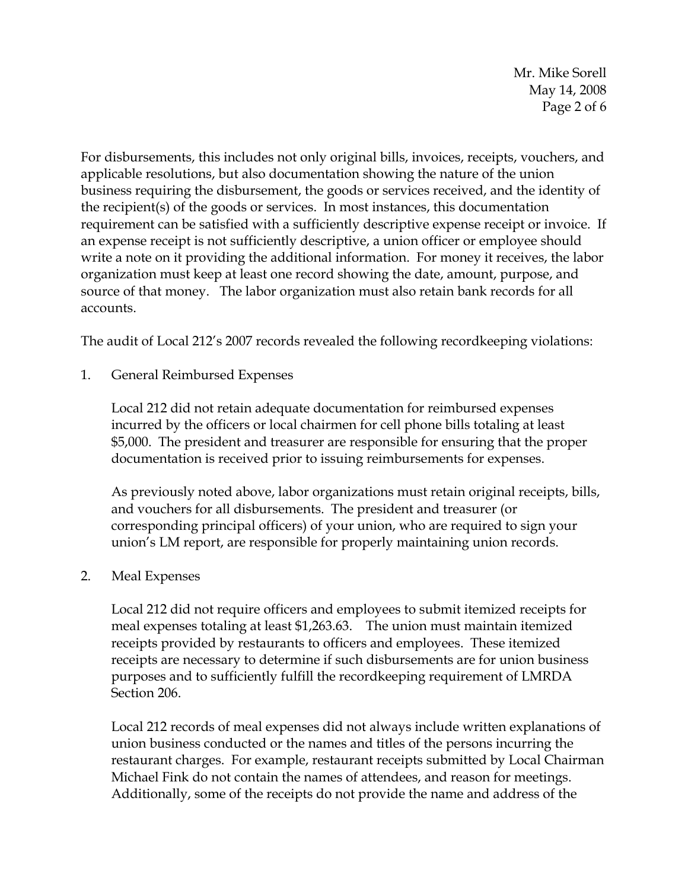Mr. Mike Sorell May 14, 2008 Page 2 of 6

For disbursements, this includes not only original bills, invoices, receipts, vouchers, and applicable resolutions, but also documentation showing the nature of the union business requiring the disbursement, the goods or services received, and the identity of the recipient(s) of the goods or services. In most instances, this documentation requirement can be satisfied with a sufficiently descriptive expense receipt or invoice. If an expense receipt is not sufficiently descriptive, a union officer or employee should write a note on it providing the additional information. For money it receives, the labor organization must keep at least one record showing the date, amount, purpose, and source of that money. The labor organization must also retain bank records for all accounts.

The audit of Local 212's 2007 records revealed the following recordkeeping violations:

1. General Reimbursed Expenses

Local 212 did not retain adequate documentation for reimbursed expenses incurred by the officers or local chairmen for cell phone bills totaling at least \$5,000. The president and treasurer are responsible for ensuring that the proper documentation is received prior to issuing reimbursements for expenses.

As previously noted above, labor organizations must retain original receipts, bills, and vouchers for all disbursements. The president and treasurer (or corresponding principal officers) of your union, who are required to sign your union's LM report, are responsible for properly maintaining union records.

### 2. Meal Expenses

Local 212 did not require officers and employees to submit itemized receipts for meal expenses totaling at least \$1,263.63. The union must maintain itemized receipts provided by restaurants to officers and employees. These itemized receipts are necessary to determine if such disbursements are for union business purposes and to sufficiently fulfill the recordkeeping requirement of LMRDA Section 206.

Local 212 records of meal expenses did not always include written explanations of union business conducted or the names and titles of the persons incurring the restaurant charges. For example, restaurant receipts submitted by Local Chairman Michael Fink do not contain the names of attendees, and reason for meetings. Additionally, some of the receipts do not provide the name and address of the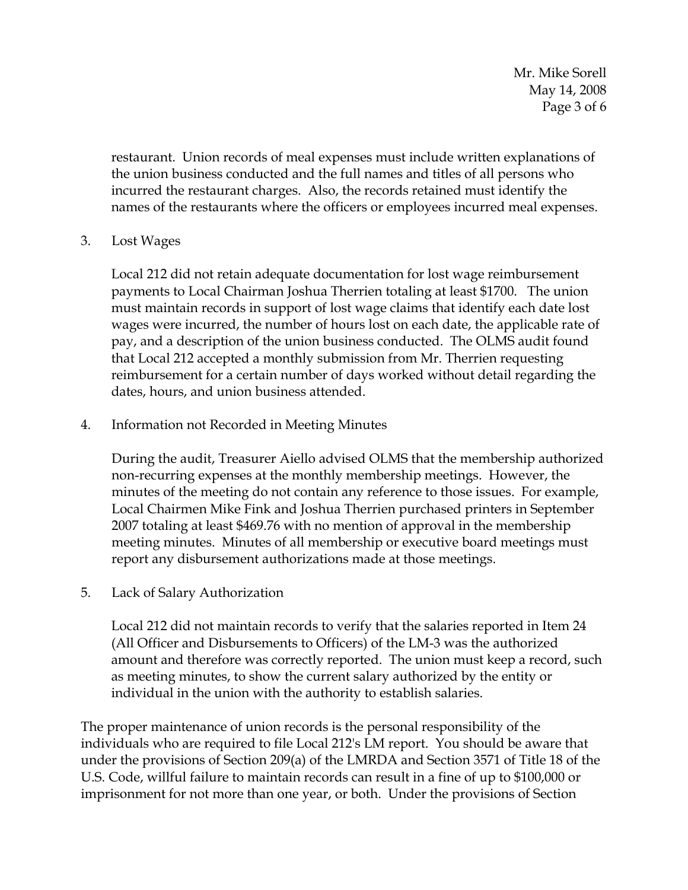Mr. Mike Sorell May 14, 2008 Page 3 of 6

restaurant. Union records of meal expenses must include written explanations of the union business conducted and the full names and titles of all persons who incurred the restaurant charges. Also, the records retained must identify the names of the restaurants where the officers or employees incurred meal expenses.

### 3. Lost Wages

Local 212 did not retain adequate documentation for lost wage reimbursement payments to Local Chairman Joshua Therrien totaling at least \$1700. The union must maintain records in support of lost wage claims that identify each date lost wages were incurred, the number of hours lost on each date, the applicable rate of pay, and a description of the union business conducted. The OLMS audit found that Local 212 accepted a monthly submission from Mr. Therrien requesting reimbursement for a certain number of days worked without detail regarding the dates, hours, and union business attended.

### 4. Information not Recorded in Meeting Minutes

During the audit, Treasurer Aiello advised OLMS that the membership authorized non-recurring expenses at the monthly membership meetings. However, the minutes of the meeting do not contain any reference to those issues. For example, Local Chairmen Mike Fink and Joshua Therrien purchased printers in September 2007 totaling at least \$469.76 with no mention of approval in the membership meeting minutes. Minutes of all membership or executive board meetings must report any disbursement authorizations made at those meetings.

### 5. Lack of Salary Authorization

Local 212 did not maintain records to verify that the salaries reported in Item 24 (All Officer and Disbursements to Officers) of the LM-3 was the authorized amount and therefore was correctly reported. The union must keep a record, such as meeting minutes, to show the current salary authorized by the entity or individual in the union with the authority to establish salaries.

The proper maintenance of union records is the personal responsibility of the individuals who are required to file Local 212's LM report. You should be aware that under the provisions of Section 209(a) of the LMRDA and Section 3571 of Title 18 of the U.S. Code, willful failure to maintain records can result in a fine of up to \$100,000 or imprisonment for not more than one year, or both. Under the provisions of Section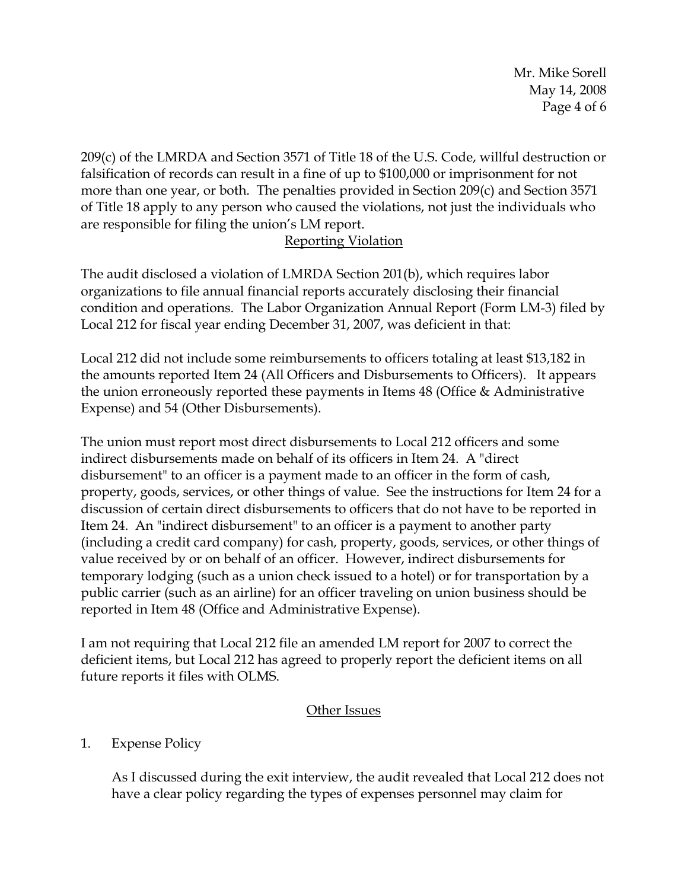Mr. Mike Sorell May 14, 2008 Page 4 of 6

209(c) of the LMRDA and Section 3571 of Title 18 of the U.S. Code, willful destruction or falsification of records can result in a fine of up to \$100,000 or imprisonment for not more than one year, or both. The penalties provided in Section 209(c) and Section 3571 of Title 18 apply to any person who caused the violations, not just the individuals who are responsible for filing the union's LM report.

## Reporting Violation

The audit disclosed a violation of LMRDA Section 201(b), which requires labor organizations to file annual financial reports accurately disclosing their financial condition and operations. The Labor Organization Annual Report (Form LM-3) filed by Local 212 for fiscal year ending December 31, 2007, was deficient in that:

Local 212 did not include some reimbursements to officers totaling at least \$13,182 in the amounts reported Item 24 (All Officers and Disbursements to Officers). It appears the union erroneously reported these payments in Items 48 (Office & Administrative Expense) and 54 (Other Disbursements).

The union must report most direct disbursements to Local 212 officers and some indirect disbursements made on behalf of its officers in Item 24. A "direct disbursement" to an officer is a payment made to an officer in the form of cash, property, goods, services, or other things of value. See the instructions for Item 24 for a discussion of certain direct disbursements to officers that do not have to be reported in Item 24. An "indirect disbursement" to an officer is a payment to another party (including a credit card company) for cash, property, goods, services, or other things of value received by or on behalf of an officer. However, indirect disbursements for temporary lodging (such as a union check issued to a hotel) or for transportation by a public carrier (such as an airline) for an officer traveling on union business should be reported in Item 48 (Office and Administrative Expense).

I am not requiring that Local 212 file an amended LM report for 2007 to correct the deficient items, but Local 212 has agreed to properly report the deficient items on all future reports it files with OLMS.

# Other Issues

# 1. Expense Policy

As I discussed during the exit interview, the audit revealed that Local 212 does not have a clear policy regarding the types of expenses personnel may claim for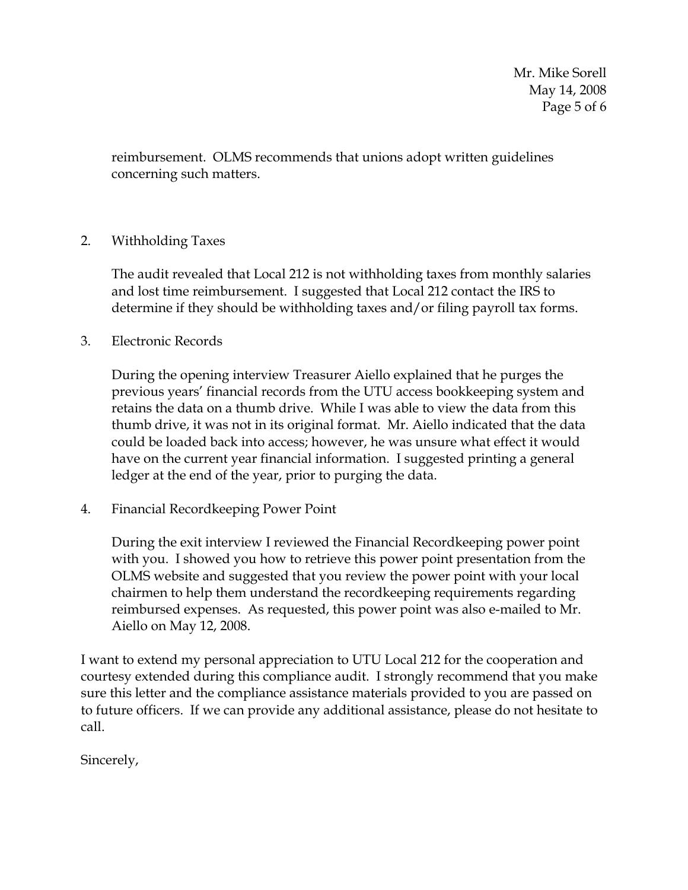Mr. Mike Sorell May 14, 2008 Page 5 of 6

reimbursement. OLMS recommends that unions adopt written guidelines concerning such matters.

### 2. Withholding Taxes

The audit revealed that Local 212 is not withholding taxes from monthly salaries and lost time reimbursement. I suggested that Local 212 contact the IRS to determine if they should be withholding taxes and/or filing payroll tax forms.

3. Electronic Records

During the opening interview Treasurer Aiello explained that he purges the previous years' financial records from the UTU access bookkeeping system and retains the data on a thumb drive. While I was able to view the data from this thumb drive, it was not in its original format. Mr. Aiello indicated that the data could be loaded back into access; however, he was unsure what effect it would have on the current year financial information. I suggested printing a general ledger at the end of the year, prior to purging the data.

4. Financial Recordkeeping Power Point

During the exit interview I reviewed the Financial Recordkeeping power point with you. I showed you how to retrieve this power point presentation from the OLMS website and suggested that you review the power point with your local chairmen to help them understand the recordkeeping requirements regarding reimbursed expenses. As requested, this power point was also e-mailed to Mr. Aiello on May 12, 2008.

I want to extend my personal appreciation to UTU Local 212 for the cooperation and courtesy extended during this compliance audit. I strongly recommend that you make sure this letter and the compliance assistance materials provided to you are passed on to future officers. If we can provide any additional assistance, please do not hesitate to call.

Sincerely,